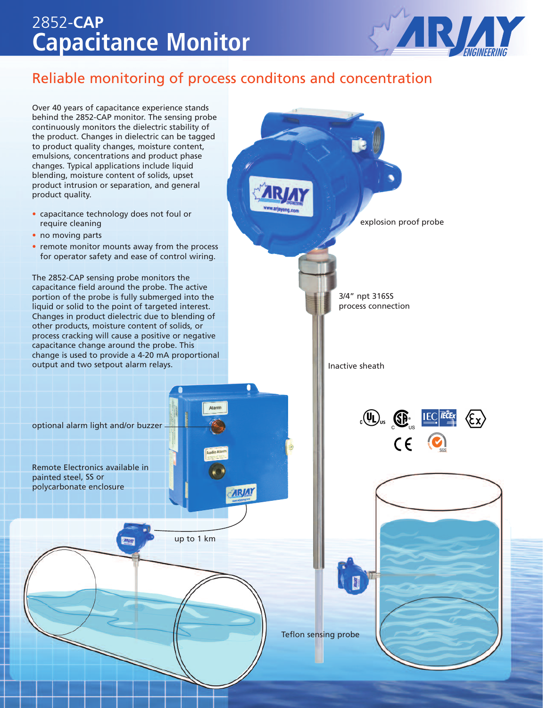## 2852-**CAP Capacitance Monitor**



### Reliable monitoring of process conditons and concentration

Over 40 years of capacitance experience stands behind the 2852-CAP monitor. The sensing probe continuously monitors the dielectric stability of the product. Changes in dielectric can be tagged to product quality changes, moisture content, emulsions, concentrations and product phase changes. Typical applications include liquid blending, moisture content of solids, upset product intrusion or separation, and general product quality.

- capacitance technology does not foul or require cleaning
- no moving parts
- remote monitor mounts away from the process for operator safety and ease of control wiring.

The 2852-CAP sensing probe monitors the capacitance field around the probe. The active portion of the probe is fully submerged into the liquid or solid to the point of targeted interest. Changes in product dielectric due to blending of other products, moisture content of solids, or process cracking will cause a positive or negative capacitance change around the probe. This change is used to provide a 4-20 mA proportional output and two setpout alarm relays.

explosion proof probe 3/4" npt 316SS process connection Inactive sheath  $\langle \mathbb{Q} \rangle$   $\langle \mathbb{G} \rangle$   $\langle \mathbb{E} \rangle$   $\langle \mathbb{E} \rangle$   $\langle \mathbb{E} \rangle$  $\epsilon$   $\epsilon$ 

Teflon sensing probe

optional alarm light and/or buzzer

Remote Electronics available in painted steel, SS or polycarbonate enclosure

**ARJAY** 

up to 1 km